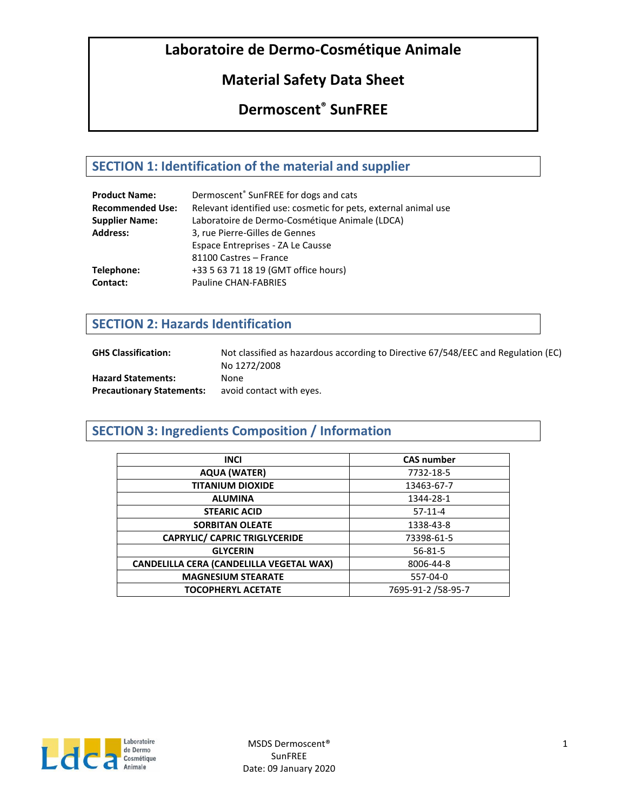# **Material Safety Data Sheet**

# **Dermoscent® SunFREE**

# **SECTION 1: Identification of the material and supplier**

| <b>Product Name:</b>    | Dermoscent <sup>®</sup> SunFREE for dogs and cats               |
|-------------------------|-----------------------------------------------------------------|
| <b>Recommended Use:</b> | Relevant identified use: cosmetic for pets, external animal use |
| <b>Supplier Name:</b>   | Laboratoire de Dermo-Cosmétique Animale (LDCA)                  |
| <b>Address:</b>         | 3, rue Pierre-Gilles de Gennes                                  |
|                         | Espace Entreprises - ZA Le Causse                               |
|                         | 81100 Castres - France                                          |
| Telephone:              | +33 5 63 71 18 19 (GMT office hours)                            |
| Contact:                | Pauline CHAN-FABRIES                                            |

## **SECTION 2: Hazards Identification**

| <b>GHS Classification:</b>       | Not classified as hazardous according to Directive 67/548/EEC and Regulation (EC)<br>No 1272/2008 |
|----------------------------------|---------------------------------------------------------------------------------------------------|
| <b>Hazard Statements:</b>        | None                                                                                              |
| <b>Precautionary Statements:</b> | avoid contact with eyes.                                                                          |

# **SECTION 3: Ingredients Composition / Information**

| <b>INCI</b>                                     | <b>CAS number</b>  |
|-------------------------------------------------|--------------------|
| <b>AQUA (WATER)</b>                             | 7732-18-5          |
| <b>TITANIUM DIOXIDE</b>                         | 13463-67-7         |
| <b>ALUMINA</b>                                  | 1344-28-1          |
| <b>STEARIC ACID</b>                             | $57-11-4$          |
| <b>SORBITAN OLEATE</b>                          | 1338-43-8          |
| <b>CAPRYLIC/ CAPRIC TRIGLYCERIDE</b>            | 73398-61-5         |
| <b>GLYCERIN</b>                                 | $56 - 81 - 5$      |
| <b>CANDELILLA CERA (CANDELILLA VEGETAL WAX)</b> | 8006-44-8          |
| <b>MAGNESIUM STEARATE</b>                       | 557-04-0           |
| <b>TOCOPHERYL ACETATE</b>                       | 7695-91-2 /58-95-7 |

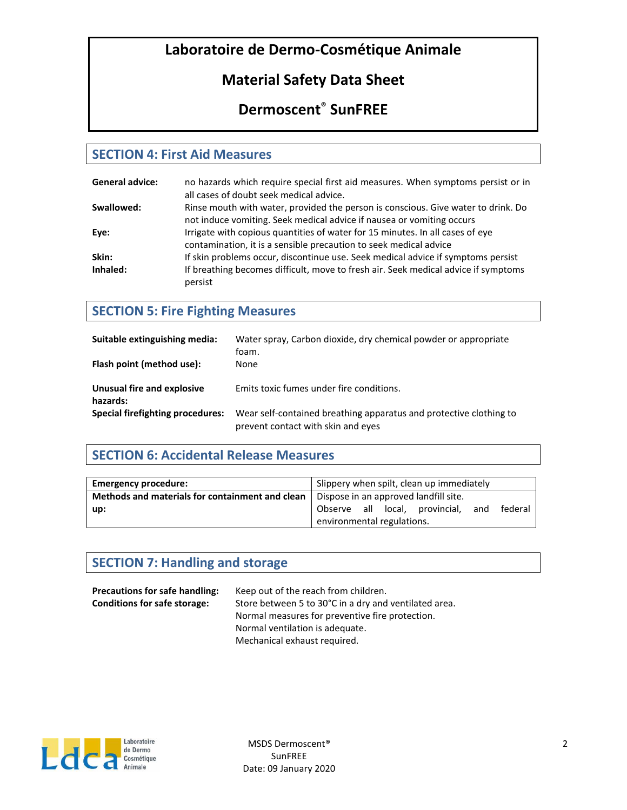# **Material Safety Data Sheet**

# **Dermoscent® SunFREE**

### **SECTION 4: First Aid Measures**

| <b>General advice:</b> | no hazards which require special first aid measures. When symptoms persist or in   |
|------------------------|------------------------------------------------------------------------------------|
|                        | all cases of doubt seek medical advice.                                            |
| Swallowed:             | Rinse mouth with water, provided the person is conscious. Give water to drink. Do  |
|                        | not induce vomiting. Seek medical advice if nausea or vomiting occurs              |
| Eve:                   | Irrigate with copious quantities of water for 15 minutes. In all cases of eye      |
|                        | contamination, it is a sensible precaution to seek medical advice                  |
| Skin:                  | If skin problems occur, discontinue use. Seek medical advice if symptoms persist   |
| Inhaled:               | If breathing becomes difficult, move to fresh air. Seek medical advice if symptoms |
|                        | persist                                                                            |

## **SECTION 5: Fire Fighting Measures**

| Suitable extinguishing media:          | Water spray, Carbon dioxide, dry chemical powder or appropriate<br>foam.                                 |
|----------------------------------------|----------------------------------------------------------------------------------------------------------|
| Flash point (method use):              | None                                                                                                     |
| Unusual fire and explosive<br>hazards: | Emits toxic fumes under fire conditions.                                                                 |
| Special firefighting procedures:       | Wear self-contained breathing apparatus and protective clothing to<br>prevent contact with skin and eyes |

## **SECTION 6: Accidental Release Measures**

| <b>Emergency procedure:</b>                     | Slippery when spilt, clean up immediately        |  |  |
|-------------------------------------------------|--------------------------------------------------|--|--|
| Methods and materials for containment and clean | Dispose in an approved landfill site.            |  |  |
| up:                                             | Observe all local, provincial,<br>federal<br>and |  |  |
|                                                 | environmental regulations.                       |  |  |

### **SECTION 7: Handling and storage**

| <b>Precautions for safe handling:</b> | Keep out of the reach from children.                  |
|---------------------------------------|-------------------------------------------------------|
| <b>Conditions for safe storage:</b>   | Store between 5 to 30°C in a dry and ventilated area. |
|                                       | Normal measures for preventive fire protection.       |
|                                       | Normal ventilation is adequate.                       |
|                                       | Mechanical exhaust required.                          |

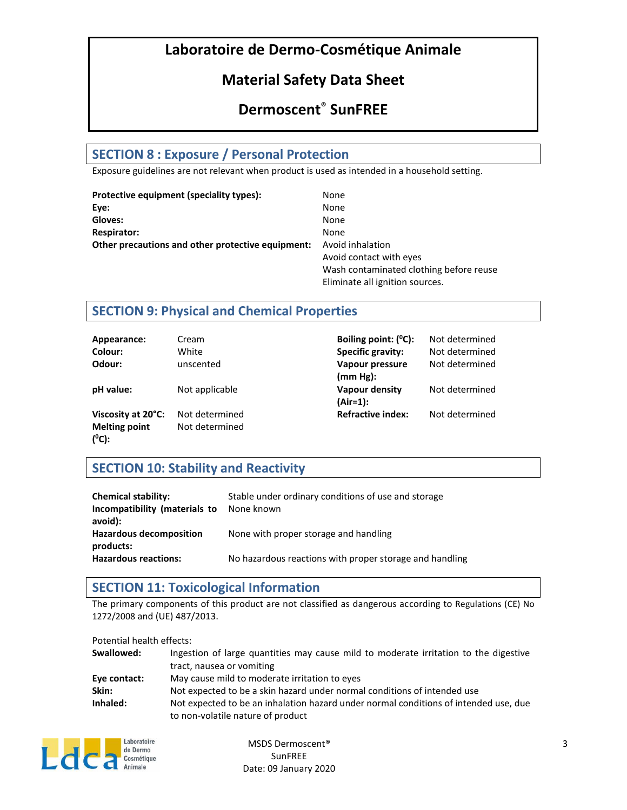# **Material Safety Data Sheet**

# **Dermoscent® SunFREE**

### **SECTION 8 : Exposure / Personal Protection**

Exposure guidelines are not relevant when product is used as intended in a household setting.

| Protective equipment (speciality types):          | None                                    |
|---------------------------------------------------|-----------------------------------------|
| Eye:                                              | None                                    |
| Gloves:                                           | None                                    |
| <b>Respirator:</b>                                | None                                    |
| Other precautions and other protective equipment: | Avoid inhalation                        |
|                                                   | Avoid contact with eyes                 |
|                                                   | Wash contaminated clothing before reuse |
|                                                   | Eliminate all ignition sources.         |

### **SECTION 9: Physical and Chemical Properties**

| Appearance:                      | Cream          | Boiling point: $(^0C)$ :     | Not determined |
|----------------------------------|----------------|------------------------------|----------------|
| Colour:                          | White          | <b>Specific gravity:</b>     | Not determined |
| Odour:                           | unscented      | Vapour pressure              | Not determined |
|                                  |                | (mm Hg):                     |                |
| pH value:                        | Not applicable | Vapour density<br>$(Air=1):$ | Not determined |
| Viscosity at 20°C:               | Not determined | <b>Refractive index:</b>     | Not determined |
| <b>Melting point</b><br>$(^0C):$ | Not determined |                              |                |

### **SECTION 10: Stability and Reactivity**

| <b>Chemical stability:</b><br>Incompatibility (materials to<br>avoid): | Stable under ordinary conditions of use and storage<br>None known |
|------------------------------------------------------------------------|-------------------------------------------------------------------|
| <b>Hazardous decomposition</b><br>products:                            | None with proper storage and handling                             |
| <b>Hazardous reactions:</b>                                            | No hazardous reactions with proper storage and handling           |

### **SECTION 11: Toxicological Information**

The primary components of this product are not classified as dangerous according to Regulations (CE) No 1272/2008 and (UE) 487/2013.

Potential health effects:

| Swallowed:   | Ingestion of large quantities may cause mild to moderate irritation to the digestive |
|--------------|--------------------------------------------------------------------------------------|
|              | tract, nausea or vomiting                                                            |
| Eye contact: | May cause mild to moderate irritation to eyes                                        |
| Skin:        | Not expected to be a skin hazard under normal conditions of intended use             |
| Inhaled:     | Not expected to be an inhalation hazard under normal conditions of intended use, due |
|              | to non-volatile nature of product                                                    |



MSDS Dermoscent® **SunFREE** Date: 09 January 2020